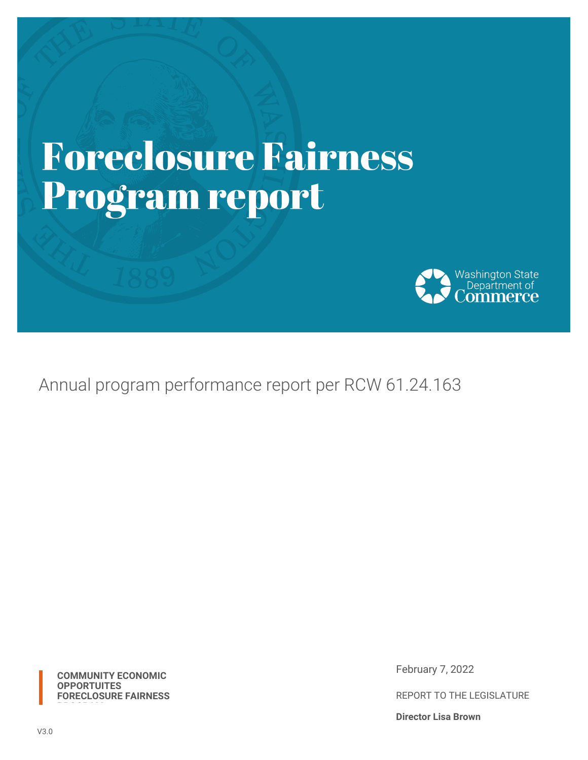# **Foreclosure Fairness** Program report



Annual program performance report per RCW 61.24.163

**COMMUNITY ECONOMIC OPPORTUITES FORECLOSURE FAIRNESS** February 7, 2022

REPORT TO THE LEGISLATURE

**Director Lisa Brown**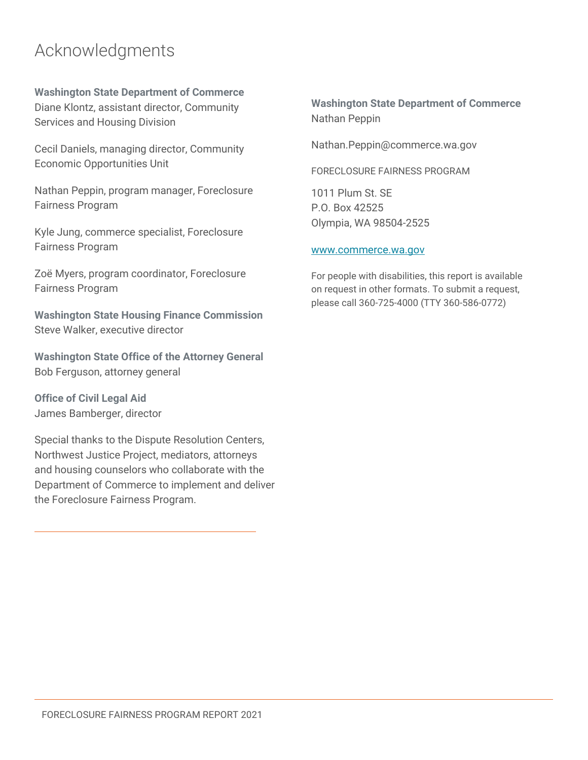### Acknowledgments

**Washington State Department of Commerce** Diane Klontz, assistant director, Community Services and Housing Division

Cecil Daniels, managing director, Community Economic Opportunities Unit

Nathan Peppin, program manager, Foreclosure Fairness Program

Kyle Jung, commerce specialist, Foreclosure Fairness Program

Zoë Myers, program coordinator, Foreclosure Fairness Program

**Washington State Housing Finance Commission** Steve Walker, executive director

**Washington State Office of the Attorney General** Bob Ferguson, attorney general

**Office of Civil Legal Aid** James Bamberger, director

Special thanks to the Dispute Resolution Centers, Northwest Justice Project, mediators, attorneys and housing counselors who collaborate with the Department of Commerce to implement and deliver the Foreclosure Fairness Program.

**Washington State Department of Commerce** Nathan Peppin

Nathan.Peppin@commerce.wa.gov

FORECLOSURE FAIRNESS PROGRAM

1011 Plum St. SE P.O. Box 42525 Olympia, WA 98504-2525

#### [www.commerce.wa.gov](file:///C:/Users/scottv/Desktop/www.commerce.wa.gov)

For people with disabilities, this report is available on request in other formats. To submit a request, please call 360-725-4000 (TTY 360-586-0772)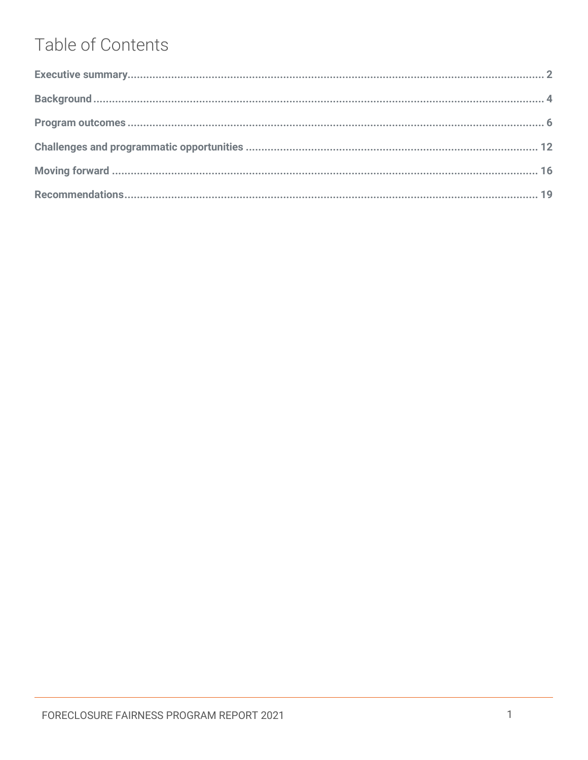# Table of Contents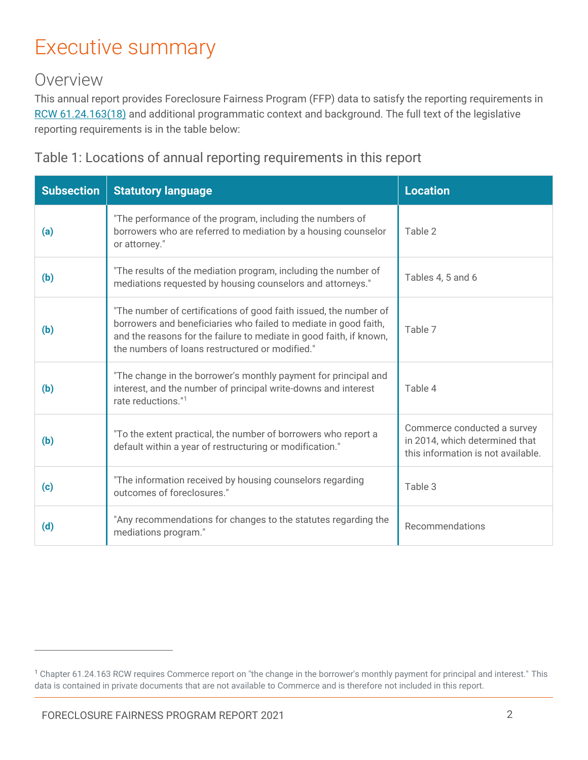# <span id="page-3-0"></span>Executive summary

#### Overview

This annual report provides Foreclosure Fairness Program (FFP) data to satisfy the reporting requirements in [RCW 61.24.163\(18\)](https://app.leg.wa.gov/rcw/default.aspx?cite=61.24.163) and additional programmatic context and background. The full text of the legislative reporting requirements is in the table below:

Table 1: Locations of annual reporting requirements in this report

| <b>Subsection</b> | <b>Statutory language</b>                                                                                                                                                                                                                                       | <b>Location</b>                                                                                     |
|-------------------|-----------------------------------------------------------------------------------------------------------------------------------------------------------------------------------------------------------------------------------------------------------------|-----------------------------------------------------------------------------------------------------|
| (a)               | "The performance of the program, including the numbers of<br>borrowers who are referred to mediation by a housing counselor<br>or attorney."                                                                                                                    | Table 2                                                                                             |
| (b)               | "The results of the mediation program, including the number of<br>mediations requested by housing counselors and attorneys."                                                                                                                                    | Tables 4, 5 and 6                                                                                   |
| (b)               | "The number of certifications of good faith issued, the number of<br>borrowers and beneficiaries who failed to mediate in good faith,<br>and the reasons for the failure to mediate in good faith, if known,<br>the numbers of loans restructured or modified." | Table 7                                                                                             |
| (b)               | "The change in the borrower's monthly payment for principal and<br>interest, and the number of principal write-downs and interest<br>rate reductions."1                                                                                                         | Table 4                                                                                             |
| (b)               | "To the extent practical, the number of borrowers who report a<br>default within a year of restructuring or modification."                                                                                                                                      | Commerce conducted a survey<br>in 2014, which determined that<br>this information is not available. |
| (c)               | "The information received by housing counselors regarding<br>outcomes of foreclosures."                                                                                                                                                                         | Table 3                                                                                             |
| (d)               | "Any recommendations for changes to the statutes regarding the<br>mediations program."                                                                                                                                                                          | Recommendations                                                                                     |

<sup>&</sup>lt;sup>1</sup> Chapter 61.24.163 RCW requires Commerce report on "the change in the borrower's monthly payment for principal and interest." This data is contained in private documents that are not available to Commerce and is therefore not included in this report.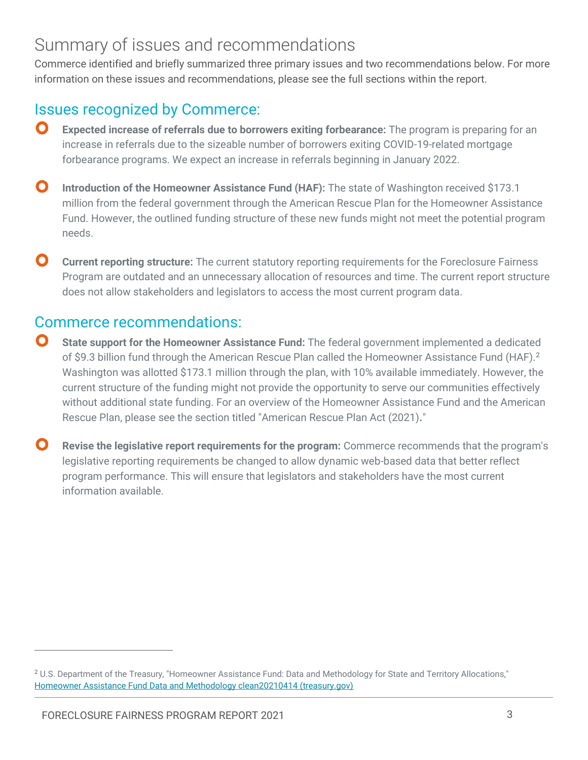### Summary of issues and recommendations

Commerce identified and briefly summarized three primary issues and two recommendations below. For more information on these issues and recommendations, please see the full sections within the report.

#### Issues recognized by Commerce:

- $\mathbf O$ **Expected increase of referrals due to borrowers exiting forbearance:** The program is preparing for an increase in referrals due to the sizeable number of borrowers exiting COVID-19-related mortgage forbearance programs. We expect an increase in referrals beginning in January 2022.
- $\mathbf O$ **Introduction of the Homeowner Assistance Fund (HAF):** The state of Washington received \$173.1 million from the federal government through the American Rescue Plan for the Homeowner Assistance Fund. However, the outlined funding structure of these new funds might not meet the potential program needs.
- $\mathbf{O}$ **Current reporting structure:** The current statutory reporting requirements for the Foreclosure Fairness Program are outdated and an unnecessary allocation of resources and time. The current report structure does not allow stakeholders and legislators to access the most current program data.

#### Commerce recommendations:

- O **State support for the Homeowner Assistance Fund:** The federal government implemented a dedicated of \$9.3 billion fund through the American Rescue Plan called the Homeowner Assistance Fund (HAF).<sup>2</sup> Washington was allotted \$173.1 million through the plan, with 10% available immediately. However, the current structure of the funding might not provide the opportunity to serve our communities effectively without additional state funding. For an overview of the Homeowner Assistance Fund and the American Rescue Plan, please see the section titled "American Rescue Plan Act (2021)**.**"
- $\mathbf{O}$ **Revise the legislative report requirements for the program:** Commerce recommends that the program's legislative reporting requirements be changed to allow dynamic web-based data that better reflect program performance. This will ensure that legislators and stakeholders have the most current information available.

<sup>&</sup>lt;sup>2</sup> U.S. Department of the Treasury, "Homeowner Assistance Fund: Data and Methodology for State and Territory Allocations," [Homeowner Assistance Fund Data and Methodology clean20210414 \(treasury.gov\)](https://home.treasury.gov/system/files/136/HAF-state-territory-data-and-allocations.pdf)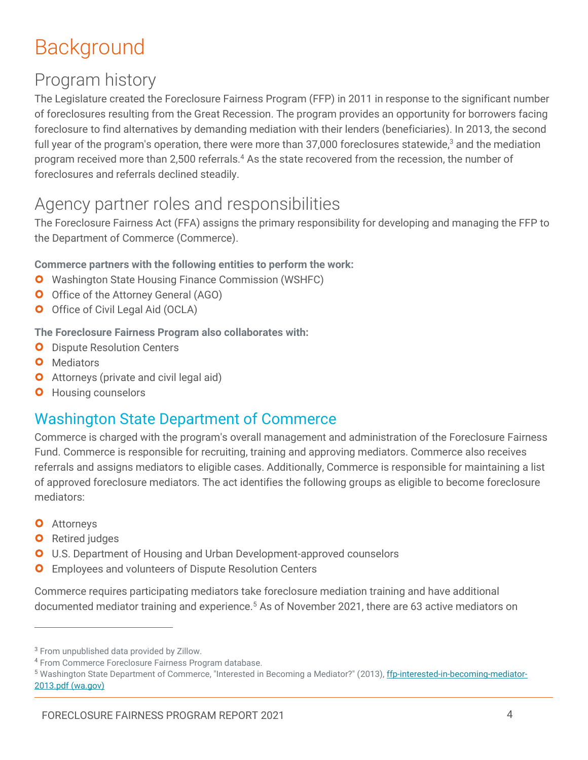# <span id="page-5-0"></span>Background

### Program history

The Legislature created the Foreclosure Fairness Program (FFP) in 2011 in response to the significant number of foreclosures resulting from the Great Recession. The program provides an opportunity for borrowers facing foreclosure to find alternatives by demanding mediation with their lenders (beneficiaries). In 2013, the second full year of the program's operation, there were more than 37,000 foreclosures statewide,<sup>3</sup> and the mediation program received more than 2,500 referrals.<sup>4</sup> As the state recovered from the recession, the number of foreclosures and referrals declined steadily.

#### Agency partner roles and responsibilities

The Foreclosure Fairness Act (FFA) assigns the primary responsibility for developing and managing the FFP to the Department of Commerce (Commerce).

#### **Commerce partners with the following entities to perform the work:**

- **O** Washington State Housing Finance Commission (WSHFC)
- **O** Office of the Attorney General (AGO)
- O Office of Civil Legal Aid (OCLA)

#### **The Foreclosure Fairness Program also collaborates with:**

- **O** Dispute Resolution Centers
- **O** Mediators
- **O** Attorneys (private and civil legal aid)
- **O** Housing counselors

#### Washington State Department of Commerce

Commerce is charged with the program's overall management and administration of the Foreclosure Fairness Fund. Commerce is responsible for recruiting, training and approving mediators. Commerce also receives referrals and assigns mediators to eligible cases. Additionally, Commerce is responsible for maintaining a list of approved foreclosure mediators. The act identifies the following groups as eligible to become foreclosure mediators:

**O** Attorneys

 $\overline{a}$ 

- **O** Retired judges
- **O** U.S. Department of Housing and Urban Development-approved counselors
- O Employees and volunteers of Dispute Resolution Centers

Commerce requires participating mediators take foreclosure mediation training and have additional documented mediator training and experience.<sup>5</sup> As of November 2021, there are 63 active mediators on

<sup>3</sup> From unpublished data provided by Zillow.

<sup>4</sup> From Commerce Foreclosure Fairness Program database.

<sup>&</sup>lt;sup>5</sup> Washington State Department of Commerce, "Interested in Becoming a Mediator?" (2013)[, ffp-interested-in-becoming-mediator-](http://www.commerce.wa.gov/wp-content/uploads/2015/11/ffp-interested-in-becoming-mediator-2013.pdf)[2013.pdf \(wa.gov\)](http://www.commerce.wa.gov/wp-content/uploads/2015/11/ffp-interested-in-becoming-mediator-2013.pdf)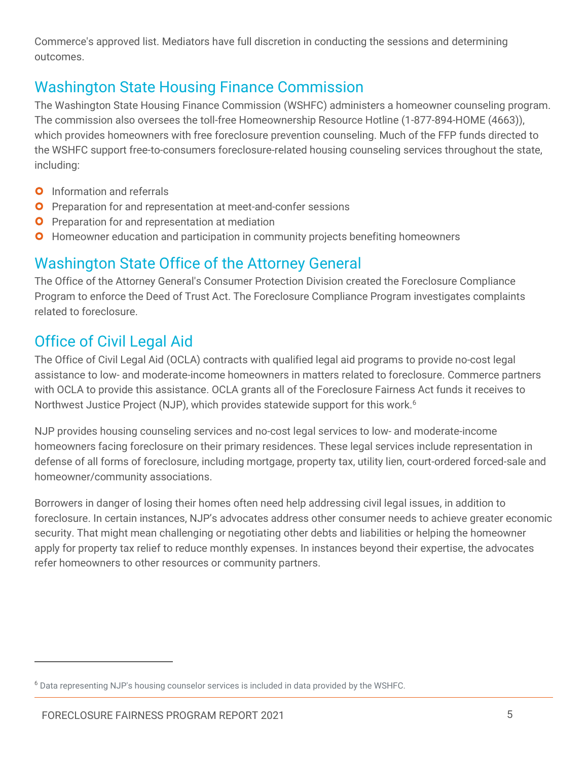Commerce's approved list. Mediators have full discretion in conducting the sessions and determining outcomes.

#### Washington State Housing Finance Commission

The Washington State Housing Finance Commission (WSHFC) administers a homeowner counseling program. The commission also oversees the toll-free Homeownership Resource Hotline (1-877-894-HOME (4663)), which provides homeowners with free foreclosure prevention counseling. Much of the FFP funds directed to the WSHFC support free-to-consumers foreclosure-related housing counseling services throughout the state, including:

- **O** Information and referrals
- **O** Preparation for and representation at meet-and-confer sessions
- **O** Preparation for and representation at mediation
- **O** Homeowner education and participation in community projects benefiting homeowners

#### Washington State Office of the Attorney General

The Office of the Attorney General's Consumer Protection Division created the Foreclosure Compliance Program to enforce the Deed of Trust Act. The Foreclosure Compliance Program investigates complaints related to foreclosure.

#### Office of Civil Legal Aid

The Office of Civil Legal Aid (OCLA) contracts with qualified legal aid programs to provide no-cost legal assistance to low- and moderate-income homeowners in matters related to foreclosure. Commerce partners with OCLA to provide this assistance. OCLA grants all of the Foreclosure Fairness Act funds it receives to Northwest Justice Project (NJP), which provides statewide support for this work.<sup>6</sup>

NJP provides housing counseling services and no-cost legal services to low- and moderate-income homeowners facing foreclosure on their primary residences. These legal services include representation in defense of all forms of foreclosure, including mortgage, property tax, utility lien, court-ordered forced-sale and homeowner/community associations.

Borrowers in danger of losing their homes often need help addressing civil legal issues, in addition to foreclosure. In certain instances, NJP's advocates address other consumer needs to achieve greater economic security. That might mean challenging or negotiating other debts and liabilities or helping the homeowner apply for property tax relief to reduce monthly expenses. In instances beyond their expertise, the advocates refer homeowners to other resources or community partners.

<sup>6</sup> Data representing NJP's housing counselor services is included in data provided by the WSHFC.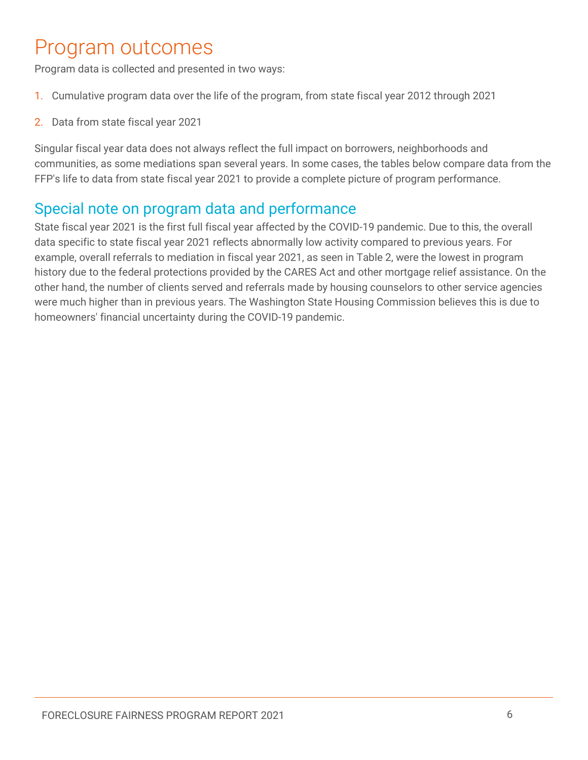# <span id="page-7-0"></span>Program outcomes

Program data is collected and presented in two ways:

- 1. Cumulative program data over the life of the program, from state fiscal year 2012 through 2021
- 2. Data from state fiscal year 2021

Singular fiscal year data does not always reflect the full impact on borrowers, neighborhoods and communities, as some mediations span several years. In some cases, the tables below compare data from the FFP's life to data from state fiscal year 2021 to provide a complete picture of program performance.

#### Special note on program data and performance

State fiscal year 2021 is the first full fiscal year affected by the COVID-19 pandemic. Due to this, the overall data specific to state fiscal year 2021 reflects abnormally low activity compared to previous years. For example, overall referrals to mediation in fiscal year 2021, as seen in Table 2, were the lowest in program history due to the federal protections provided by the CARES Act and other mortgage relief assistance. On the other hand, the number of clients served and referrals made by housing counselors to other service agencies were much higher than in previous years. The Washington State Housing Commission believes this is due to homeowners' financial uncertainty during the COVID-19 pandemic.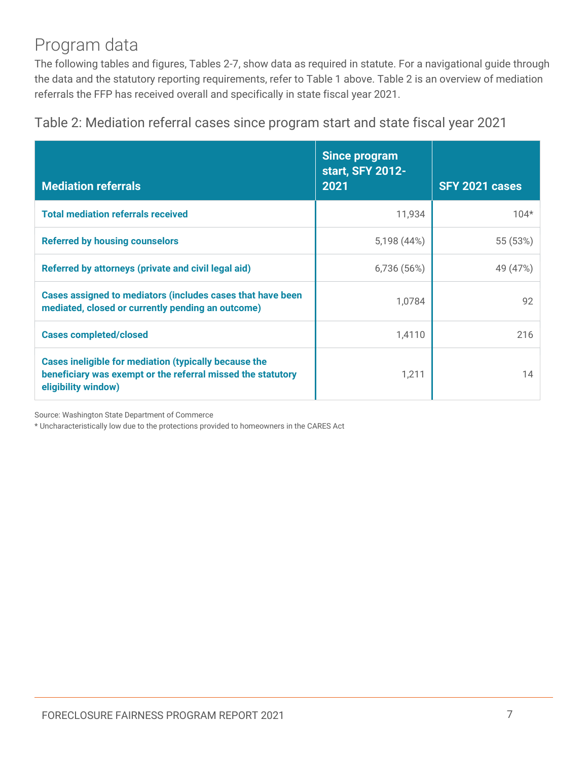### Program data

The following tables and figures, Tables 2-7, show data as required in statute. For a navigational guide through the data and the statutory reporting requirements, refer to Table 1 above. Table 2 is an overview of mediation referrals the FFP has received overall and specifically in state fiscal year 2021.

Table 2: Mediation referral cases since program start and state fiscal year 2021

| <b>Mediation referrals</b>                                                                                                                  | <b>Since program</b><br>start, SFY 2012-<br>2021 | SFY 2021 cases |
|---------------------------------------------------------------------------------------------------------------------------------------------|--------------------------------------------------|----------------|
| <b>Total mediation referrals received</b>                                                                                                   | 11,934                                           | $104*$         |
| <b>Referred by housing counselors</b>                                                                                                       | 5,198 (44%)                                      | 55 (53%)       |
| Referred by attorneys (private and civil legal aid)                                                                                         | 6,736 (56%)                                      | 49 (47%)       |
| Cases assigned to mediators (includes cases that have been<br>mediated, closed or currently pending an outcome)                             | 1,0784                                           | 92             |
| <b>Cases completed/closed</b>                                                                                                               | 1,4110                                           | 216            |
| Cases ineligible for mediation (typically because the<br>beneficiary was exempt or the referral missed the statutory<br>eligibility window) | 1,211                                            | 14             |

Source: Washington State Department of Commerce

\* Uncharacteristically low due to the protections provided to homeowners in the CARES Act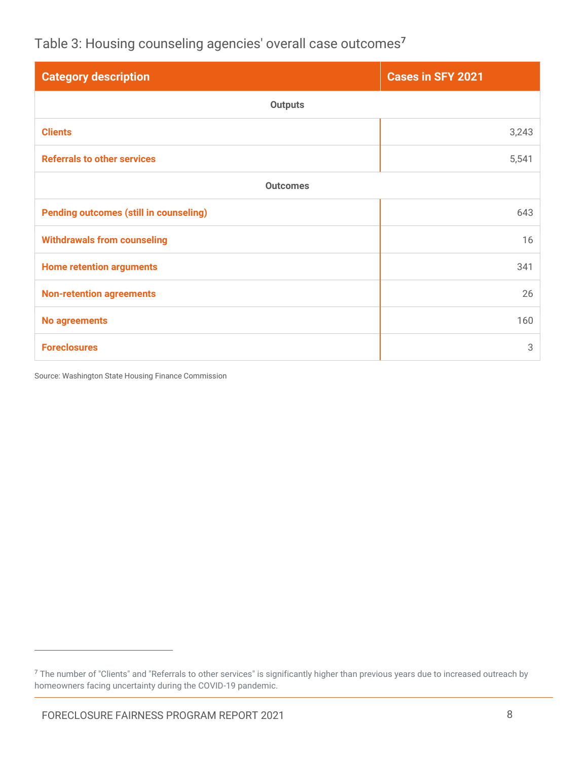Table 3: Housing counseling agencies' overall case outcomes**<sup>7</sup>**

| <b>Category description</b>                   | <b>Cases in SFY 2021</b> |  |  |
|-----------------------------------------------|--------------------------|--|--|
| <b>Outputs</b>                                |                          |  |  |
| <b>Clients</b>                                | 3,243                    |  |  |
| <b>Referrals to other services</b>            | 5,541                    |  |  |
| <b>Outcomes</b>                               |                          |  |  |
| <b>Pending outcomes (still in counseling)</b> | 643                      |  |  |
| <b>Withdrawals from counseling</b>            | 16                       |  |  |
| <b>Home retention arguments</b>               | 341                      |  |  |
| <b>Non-retention agreements</b>               | 26                       |  |  |
| <b>No agreements</b>                          | 160                      |  |  |
| <b>Foreclosures</b>                           | 3                        |  |  |

Source: Washington State Housing Finance Commission

 $7$  The number of "Clients" and "Referrals to other services" is significantly higher than previous years due to increased outreach by homeowners facing uncertainty during the COVID-19 pandemic.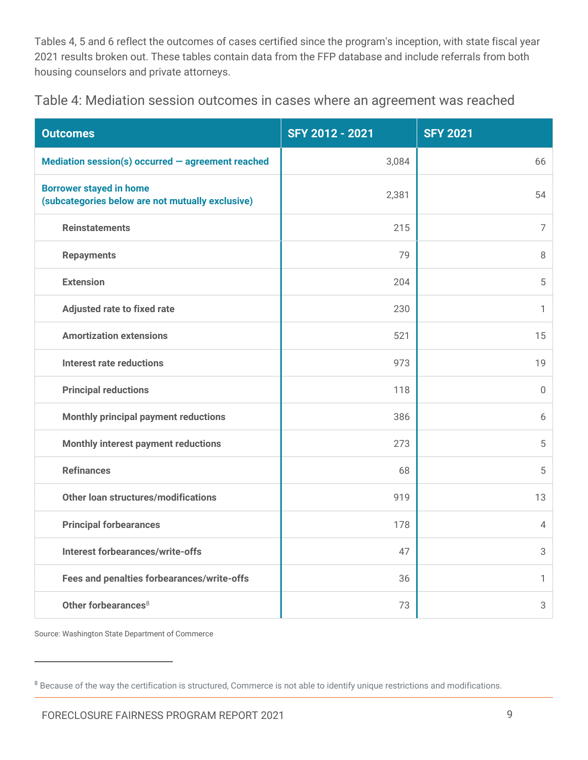Tables 4, 5 and 6 reflect the outcomes of cases certified since the program's inception, with state fiscal year 2021 results broken out. These tables contain data from the FFP database and include referrals from both housing counselors and private attorneys.

Table 4: Mediation session outcomes in cases where an agreement was reached

| <b>Outcomes</b>                                                                    | SFY 2012 - 2021 | <b>SFY 2021</b> |
|------------------------------------------------------------------------------------|-----------------|-----------------|
| Mediation session(s) occurred $-$ agreement reached                                | 3,084           | 66              |
| <b>Borrower stayed in home</b><br>(subcategories below are not mutually exclusive) | 2,381           | 54              |
| <b>Reinstatements</b>                                                              | 215             | $\overline{7}$  |
| <b>Repayments</b>                                                                  | 79              | 8               |
| <b>Extension</b>                                                                   | 204             | 5               |
| <b>Adjusted rate to fixed rate</b>                                                 | 230             | 1               |
| <b>Amortization extensions</b>                                                     | 521             | 15              |
| <b>Interest rate reductions</b>                                                    | 973             | 19              |
| <b>Principal reductions</b>                                                        | 118             | $\Omega$        |
| Monthly principal payment reductions                                               | 386             | 6               |
| Monthly interest payment reductions                                                | 273             | 5               |
| <b>Refinances</b>                                                                  | 68              | 5               |
| Other loan structures/modifications                                                | 919             | 13              |
| <b>Principal forbearances</b>                                                      | 178             | 4               |
| <b>Interest forbearances/write-offs</b>                                            | 47              | 3               |
| Fees and penalties forbearances/write-offs                                         | 36              | 1               |
| Other forbearances <sup>8</sup>                                                    | 73              | 3               |

Source: Washington State Department of Commerce

<sup>&</sup>lt;sup>8</sup> Because of the way the certification is structured, Commerce is not able to identify unique restrictions and modifications.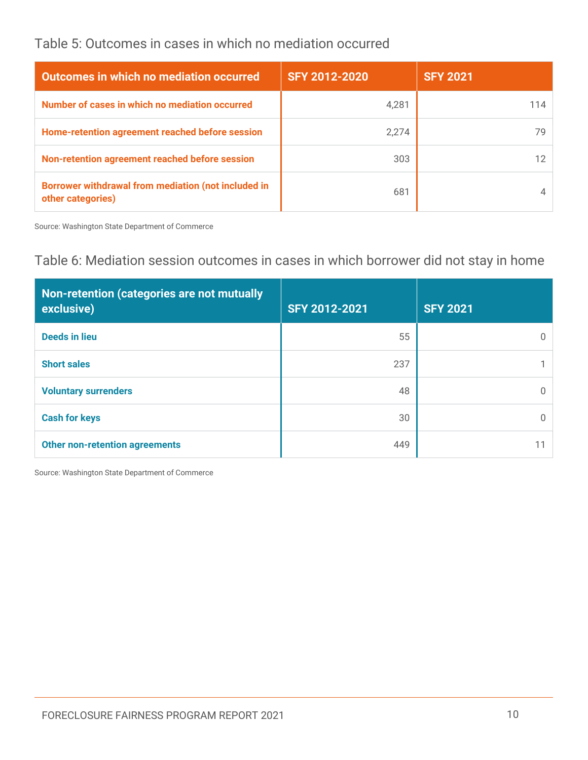#### Table 5: Outcomes in cases in which no mediation occurred

| <b>Outcomes in which no mediation occurred</b>                                  | SFY 2012-2020 | <b>SFY 2021</b> |
|---------------------------------------------------------------------------------|---------------|-----------------|
| Number of cases in which no mediation occurred                                  | 4,281         | 114             |
| Home-retention agreement reached before session                                 | 2,274         |                 |
| Non-retention agreement reached before session                                  | 303           |                 |
| <b>Borrower withdrawal from mediation (not included in</b><br>other categories) | 681           |                 |

Source: Washington State Department of Commerce

#### Table 6: Mediation session outcomes in cases in which borrower did not stay in home

| Non-retention (categories are not mutually<br>exclusive) | SFY 2012-2021 | <b>SFY 2021</b> |
|----------------------------------------------------------|---------------|-----------------|
| <b>Deeds in lieu</b>                                     | 55            |                 |
| <b>Short sales</b>                                       | 237           |                 |
| <b>Voluntary surrenders</b>                              | 48            |                 |
| <b>Cash for keys</b>                                     | 30            |                 |
| <b>Other non-retention agreements</b>                    | 449           |                 |

Source: Washington State Department of Commerce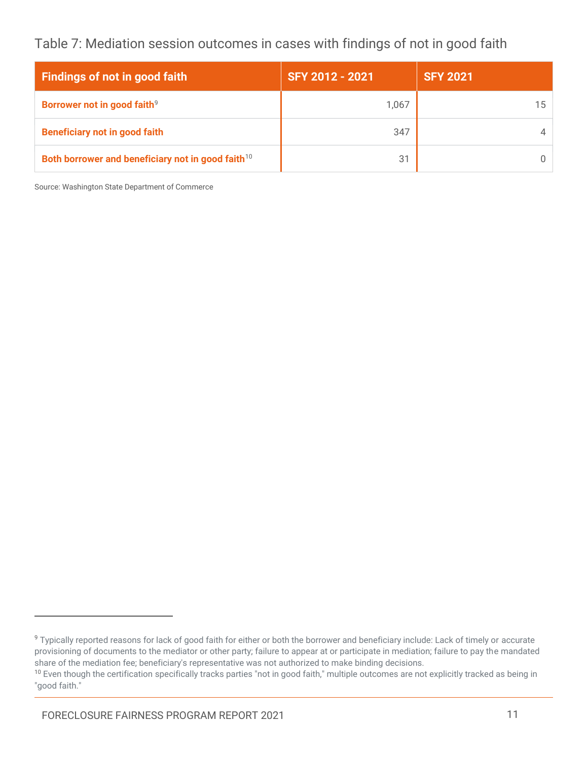Table 7: Mediation session outcomes in cases with findings of not in good faith

| Findings of not in good faith                                 | SFY 2012 - 2021 | <b>SFY 2021</b> |
|---------------------------------------------------------------|-----------------|-----------------|
| Borrower not in good faith <sup>9</sup>                       | 1,067           |                 |
| <b>Beneficiary not in good faith</b>                          | 347             |                 |
| Both borrower and beneficiary not in good faith <sup>10</sup> | 31              |                 |

Source: Washington State Department of Commerce

<sup>&</sup>lt;sup>9</sup> Typically reported reasons for lack of good faith for either or both the borrower and beneficiary include: Lack of timely or accurate provisioning of documents to the mediator or other party; failure to appear at or participate in mediation; failure to pay the mandated share of the mediation fee; beneficiary's representative was not authorized to make binding decisions.

<sup>&</sup>lt;sup>10</sup> Even though the certification specifically tracks parties "not in good faith," multiple outcomes are not explicitly tracked as being in "good faith."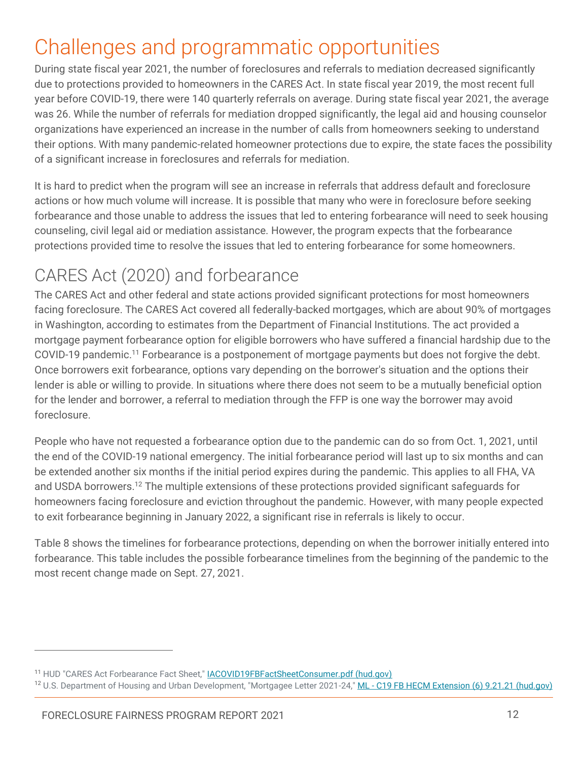# <span id="page-13-0"></span>Challenges and programmatic opportunities

During state fiscal year 2021, the number of foreclosures and referrals to mediation decreased significantly due to protections provided to homeowners in the CARES Act. In state fiscal year 2019, the most recent full year before COVID-19, there were 140 quarterly referrals on average. During state fiscal year 2021, the average was 26. While the number of referrals for mediation dropped significantly, the legal aid and housing counselor organizations have experienced an increase in the number of calls from homeowners seeking to understand their options. With many pandemic-related homeowner protections due to expire, the state faces the possibility of a significant increase in foreclosures and referrals for mediation.

It is hard to predict when the program will see an increase in referrals that address default and foreclosure actions or how much volume will increase. It is possible that many who were in foreclosure before seeking forbearance and those unable to address the issues that led to entering forbearance will need to seek housing counseling, civil legal aid or mediation assistance. However, the program expects that the forbearance protections provided time to resolve the issues that led to entering forbearance for some homeowners.

# CARES Act (2020) and forbearance

The CARES Act and other federal and state actions provided significant protections for most homeowners facing foreclosure. The CARES Act covered all federally-backed mortgages, which are about 90% of mortgages in Washington, according to estimates from the Department of Financial Institutions. The act provided a mortgage payment forbearance option for eligible borrowers who have suffered a financial hardship due to the COVID-19 pandemic.<sup>11</sup> Forbearance is a postponement of mortgage payments but does not forgive the debt. Once borrowers exit forbearance, options vary depending on the borrower's situation and the options their lender is able or willing to provide. In situations where there does not seem to be a mutually beneficial option for the lender and borrower, a referral to mediation through the FFP is one way the borrower may avoid foreclosure.

People who have not requested a forbearance option due to the pandemic can do so from Oct. 1, 2021, until the end of the COVID-19 national emergency. The initial forbearance period will last up to six months and can be extended another six months if the initial period expires during the pandemic. This applies to all FHA, VA and USDA borrowers.<sup>12</sup> The multiple extensions of these protections provided significant safeguards for homeowners facing foreclosure and eviction throughout the pandemic. However, with many people expected to exit forbearance beginning in January 2022, a significant rise in referrals is likely to occur.

Table 8 shows the timelines for forbearance protections, depending on when the borrower initially entered into forbearance. This table includes the possible forbearance timelines from the beginning of the pandemic to the most recent change made on Sept. 27, 2021.

<sup>&</sup>lt;sup>11</sup> HUD "CARES Act Forbearance Fact Sheet," [IACOVID19FBFactSheetConsumer.pdf \(hud.gov\)](https://www.hud.gov/sites/dfiles/SFH/documents/IACOVID19FBFactSheetConsumer.pdf)

<sup>&</sup>lt;sup>12</sup> U.S. Department of Housing and Urban Development, "Mortgagee Letter 2021-24," ML - [C19 FB HECM Extension \(6\) 9.21.21 \(hud.gov\)](https://www.hud.gov/sites/dfiles/OCHCO/documents/2021-24hsngml.pdf?utm_medium=email&utm_source=govdelivery)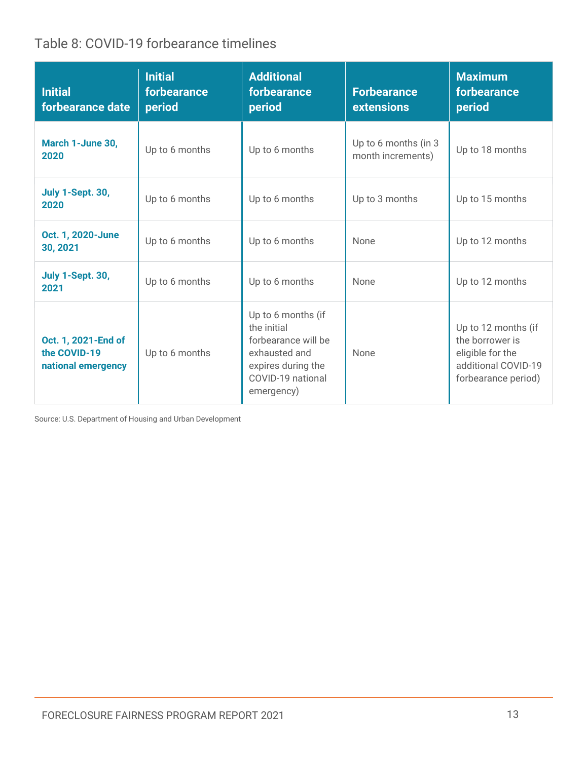Table 8: COVID-19 forbearance timelines

| <b>Initial</b><br>forbearance date                        | <b>Initial</b><br>forbearance<br>period | <b>Additional</b><br>forbearance<br>period                                                                                         | <b>Forbearance</b><br><b>extensions</b>   | <b>Maximum</b><br>forbearance<br>period                                                                  |
|-----------------------------------------------------------|-----------------------------------------|------------------------------------------------------------------------------------------------------------------------------------|-------------------------------------------|----------------------------------------------------------------------------------------------------------|
| March 1-June 30,<br>2020                                  | Up to 6 months                          | Up to 6 months                                                                                                                     | Up to 6 months (in 3<br>month increments) | Up to 18 months                                                                                          |
| July 1-Sept. 30,<br>2020                                  | Up to 6 months                          | Up to 6 months                                                                                                                     | Up to 3 months                            | Up to 15 months                                                                                          |
| Oct. 1, 2020-June<br>30, 2021                             | Up to 6 months                          | Up to 6 months                                                                                                                     | None                                      | Up to 12 months                                                                                          |
| <b>July 1-Sept. 30,</b><br>2021                           | Up to 6 months                          | Up to 6 months                                                                                                                     | <b>None</b>                               | Up to 12 months                                                                                          |
| Oct. 1, 2021-End of<br>the COVID-19<br>national emergency | Up to 6 months                          | Up to 6 months (if<br>the initial<br>forbearance will be<br>exhausted and<br>expires during the<br>COVID-19 national<br>emergency) | None                                      | Up to 12 months (if<br>the borrower is<br>eligible for the<br>additional COVID-19<br>forbearance period) |

Source: U.S. Department of Housing and Urban Development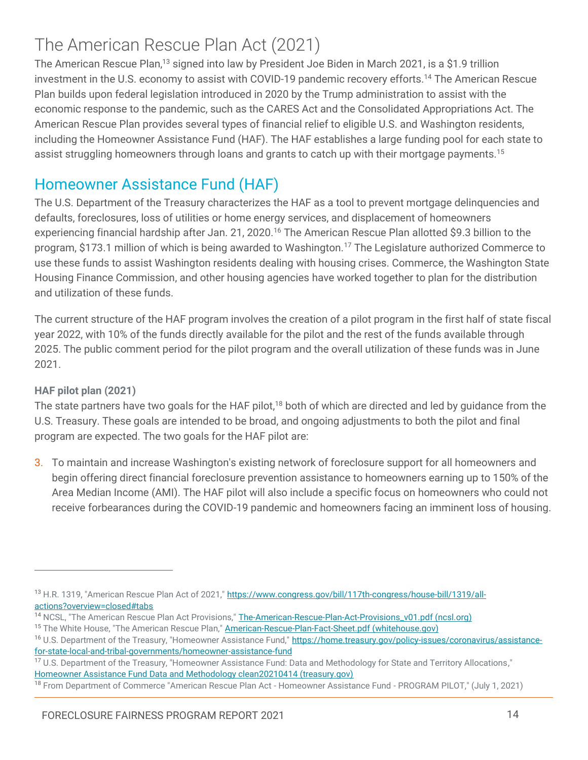## The American Rescue Plan Act (2021)

The American Rescue Plan,<sup>13</sup> signed into law by President Joe Biden in March 2021, is a \$1.9 trillion investment in the U.S. economy to assist with COVID-19 pandemic recovery efforts.<sup>14</sup> The American Rescue Plan builds upon federal legislation introduced in 2020 by the Trump administration to assist with the economic response to the pandemic, such as the CARES Act and the Consolidated Appropriations Act. The American Rescue Plan provides several types of financial relief to eligible U.S. and Washington residents, including the Homeowner Assistance Fund (HAF). The HAF establishes a large funding pool for each state to assist struggling homeowners through loans and grants to catch up with their mortgage payments.<sup>15</sup>

#### Homeowner Assistance Fund (HAF)

The U.S. Department of the Treasury characterizes the HAF as a tool to prevent mortgage delinquencies and defaults, foreclosures, loss of utilities or home energy services, and displacement of homeowners experiencing financial hardship after Jan. 21, 2020.<sup>16</sup> The American Rescue Plan allotted \$9.3 billion to the program, \$173.1 million of which is being awarded to Washington.<sup>17</sup> The Legislature authorized Commerce to use these funds to assist Washington residents dealing with housing crises. Commerce, the Washington State Housing Finance Commission, and other housing agencies have worked together to plan for the distribution and utilization of these funds.

The current structure of the HAF program involves the creation of a pilot program in the first half of state fiscal year 2022, with 10% of the funds directly available for the pilot and the rest of the funds available through 2025. The public comment period for the pilot program and the overall utilization of these funds was in June 2021.

#### **HAF pilot plan (2021)**

 $\overline{a}$ 

The state partners have two goals for the HAF pilot,<sup>18</sup> both of which are directed and led by guidance from the U.S. Treasury. These goals are intended to be broad, and ongoing adjustments to both the pilot and final program are expected. The two goals for the HAF pilot are:

3. To maintain and increase Washington's existing network of foreclosure support for all homeowners and begin offering direct financial foreclosure prevention assistance to homeowners earning up to 150% of the Area Median Income (AMI). The HAF pilot will also include a specific focus on homeowners who could not receive forbearances during the COVID-19 pandemic and homeowners facing an imminent loss of housing.

<sup>&</sup>lt;sup>13</sup> H.R. 1319, "American Rescue Plan Act of 2021,[" https://www.congress.gov/bill/117th-congress/house-bill/1319/all](https://www.congress.gov/bill/117th-congress/house-bill/1319/all-actions?overview=closed#tabs)[actions?overview=closed#tabs](https://www.congress.gov/bill/117th-congress/house-bill/1319/all-actions?overview=closed#tabs)

<sup>&</sup>lt;sup>14</sup> NCSL, "The American Rescue Plan Act Provisions," [The-American-Rescue-Plan-Act-Provisions\\_v01.pdf \(ncsl.org\)](https://www.ncsl.org/Portals/1/Documents/statefed/The-American-Rescue-Plan-Act-Provisions_v01.pdf)

<sup>&</sup>lt;sup>15</sup> The White House, "The American Rescue Plan," [American-Rescue-Plan-Fact-Sheet.pdf \(whitehouse.gov\)](https://www.whitehouse.gov/wp-content/uploads/2021/03/American-Rescue-Plan-Fact-Sheet.pdf)

<sup>&</sup>lt;sup>16</sup> U.S. Department of the Treasury, "Homeowner Assistance Fund," [https://home.treasury.gov/policy-issues/coronavirus/assistance](https://home.treasury.gov/policy-issues/coronavirus/assistance-for-state-local-and-tribal-governments/homeowner-assistance-fund)[for-state-local-and-tribal-governments/homeowner-assistance-fund](https://home.treasury.gov/policy-issues/coronavirus/assistance-for-state-local-and-tribal-governments/homeowner-assistance-fund)

<sup>&</sup>lt;sup>17</sup> U.S. Department of the Treasury, "Homeowner Assistance Fund: Data and Methodology for State and Territory Allocations," [Homeowner Assistance Fund Data and Methodology clean20210414 \(treasury.gov\)](https://home.treasury.gov/system/files/136/HAF-state-territory-data-and-allocations.pdf)

<sup>&</sup>lt;sup>18</sup> From Department of Commerce "American Rescue Plan Act - Homeowner Assistance Fund - PROGRAM PILOT," (July 1, 2021)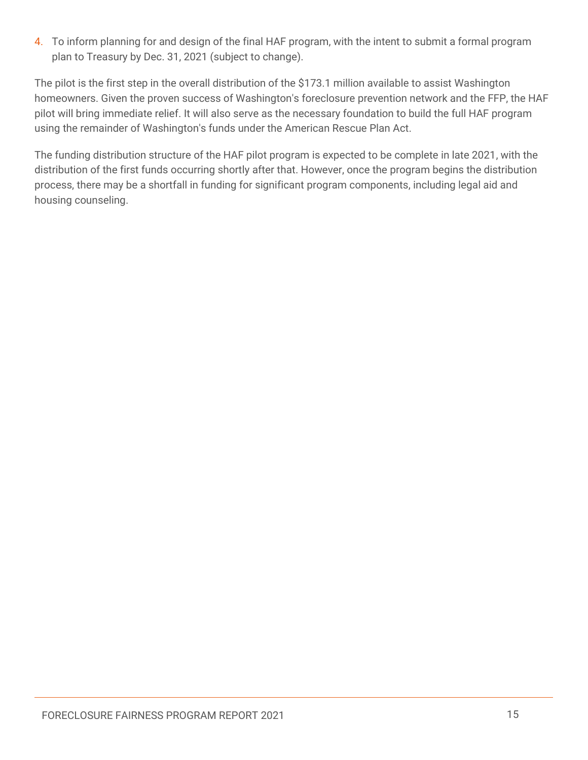4. To inform planning for and design of the final HAF program, with the intent to submit a formal program plan to Treasury by Dec. 31, 2021 (subject to change).

The pilot is the first step in the overall distribution of the \$173.1 million available to assist Washington homeowners. Given the proven success of Washington's foreclosure prevention network and the FFP, the HAF pilot will bring immediate relief. It will also serve as the necessary foundation to build the full HAF program using the remainder of Washington's funds under the American Rescue Plan Act.

The funding distribution structure of the HAF pilot program is expected to be complete in late 2021, with the distribution of the first funds occurring shortly after that. However, once the program begins the distribution process, there may be a shortfall in funding for significant program components, including legal aid and housing counseling.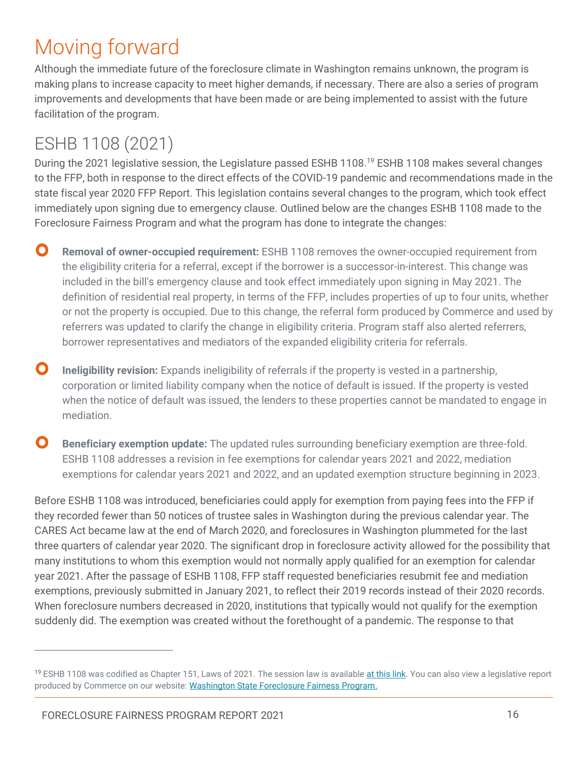# <span id="page-17-0"></span>Moving forward

Although the immediate future of the foreclosure climate in Washington remains unknown, the program is making plans to increase capacity to meet higher demands, if necessary. There are also a series of program improvements and developments that have been made or are being implemented to assist with the future facilitation of the program.

# ESHB 1108 (2021)

During the 2021 legislative session, the Legislature passed ESHB 1108.<sup>19</sup> ESHB 1108 makes several changes to the FFP, both in response to the direct effects of the COVID-19 pandemic and recommendations made in the state fiscal year 2020 FFP Report. This legislation contains several changes to the program, which took effect immediately upon signing due to emergency clause. Outlined below are the changes ESHB 1108 made to the Foreclosure Fairness Program and what the program has done to integrate the changes:

- $\mathbf O$ **Removal of owner-occupied requirement:** ESHB 1108 removes the owner-occupied requirement from the eligibility criteria for a referral, except if the borrower is a successor-in-interest. This change was included in the bill's emergency clause and took effect immediately upon signing in May 2021. The definition of residential real property, in terms of the FFP, includes properties of up to four units, whether or not the property is occupied. Due to this change, the referral form produced by Commerce and used by referrers was updated to clarify the change in eligibility criteria. Program staff also alerted referrers, borrower representatives and mediators of the expanded eligibility criteria for referrals.
- O **Ineligibility revision:** Expands ineligibility of referrals if the property is vested in a partnership, corporation or limited liability company when the notice of default is issued. If the property is vested when the notice of default was issued, the lenders to these properties cannot be mandated to engage in mediation.
- O **Beneficiary exemption update:** The updated rules surrounding beneficiary exemption are three-fold. ESHB 1108 addresses a revision in fee exemptions for calendar years 2021 and 2022, mediation exemptions for calendar years 2021 and 2022, and an updated exemption structure beginning in 2023.

Before ESHB 1108 was introduced, beneficiaries could apply for exemption from paying fees into the FFP if they recorded fewer than 50 notices of trustee sales in Washington during the previous calendar year. The CARES Act became law at the end of March 2020, and foreclosures in Washington plummeted for the last three quarters of calendar year 2020. The significant drop in foreclosure activity allowed for the possibility that many institutions to whom this exemption would not normally apply qualified for an exemption for calendar year 2021. After the passage of ESHB 1108, FFP staff requested beneficiaries resubmit fee and mediation exemptions, previously submitted in January 2021, to reflect their 2019 records instead of their 2020 records. When foreclosure numbers decreased in 2020, institutions that typically would not qualify for the exemption suddenly did. The exemption was created without the forethought of a pandemic. The response to that

<sup>&</sup>lt;sup>19</sup> ESHB 1108 was codified as Chapter 151, Laws of 2021. The session law is availabl[e at this link.](https://app.leg.wa.gov/billsummary?BillNumber=1108&Year=2021&Initiative=false) You can also view a legislative report produced by Commerce on our website: [Washington State Foreclosure Fairness Program.](https://www.commerce.wa.gov/building-infrastructure/housing/foreclosure-fairness/)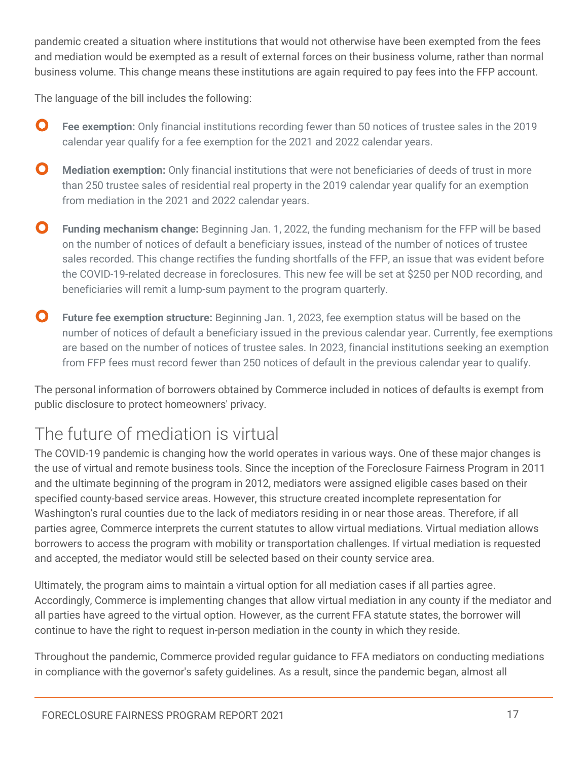pandemic created a situation where institutions that would not otherwise have been exempted from the fees and mediation would be exempted as a result of external forces on their business volume, rather than normal business volume. This change means these institutions are again required to pay fees into the FFP account.

The language of the bill includes the following:

- O **Fee exemption:** Only financial institutions recording fewer than 50 notices of trustee sales in the 2019 calendar year qualify for a fee exemption for the 2021 and 2022 calendar years.
- $\mathbf{O}$ **Mediation exemption:** Only financial institutions that were not beneficiaries of deeds of trust in more than 250 trustee sales of residential real property in the 2019 calendar year qualify for an exemption from mediation in the 2021 and 2022 calendar years.
- $\mathbf{O}$ **Funding mechanism change:** Beginning Jan. 1, 2022, the funding mechanism for the FFP will be based on the number of notices of default a beneficiary issues, instead of the number of notices of trustee sales recorded. This change rectifies the funding shortfalls of the FFP, an issue that was evident before the COVID-19-related decrease in foreclosures. This new fee will be set at \$250 per NOD recording, and beneficiaries will remit a lump-sum payment to the program quarterly.
- $\mathbf{O}$ **Future fee exemption structure:** Beginning Jan. 1, 2023, fee exemption status will be based on the number of notices of default a beneficiary issued in the previous calendar year. Currently, fee exemptions are based on the number of notices of trustee sales. In 2023, financial institutions seeking an exemption from FFP fees must record fewer than 250 notices of default in the previous calendar year to qualify.

The personal information of borrowers obtained by Commerce included in notices of defaults is exempt from public disclosure to protect homeowners' privacy.

# The future of mediation is virtual

The COVID-19 pandemic is changing how the world operates in various ways. One of these major changes is the use of virtual and remote business tools. Since the inception of the Foreclosure Fairness Program in 2011 and the ultimate beginning of the program in 2012, mediators were assigned eligible cases based on their specified county-based service areas. However, this structure created incomplete representation for Washington's rural counties due to the lack of mediators residing in or near those areas. Therefore, if all parties agree, Commerce interprets the current statutes to allow virtual mediations. Virtual mediation allows borrowers to access the program with mobility or transportation challenges. If virtual mediation is requested and accepted, the mediator would still be selected based on their county service area.

Ultimately, the program aims to maintain a virtual option for all mediation cases if all parties agree. Accordingly, Commerce is implementing changes that allow virtual mediation in any county if the mediator and all parties have agreed to the virtual option. However, as the current FFA statute states, the borrower will continue to have the right to request in-person mediation in the county in which they reside.

Throughout the pandemic, Commerce provided regular guidance to FFA mediators on conducting mediations in compliance with the governor's safety guidelines. As a result, since the pandemic began, almost all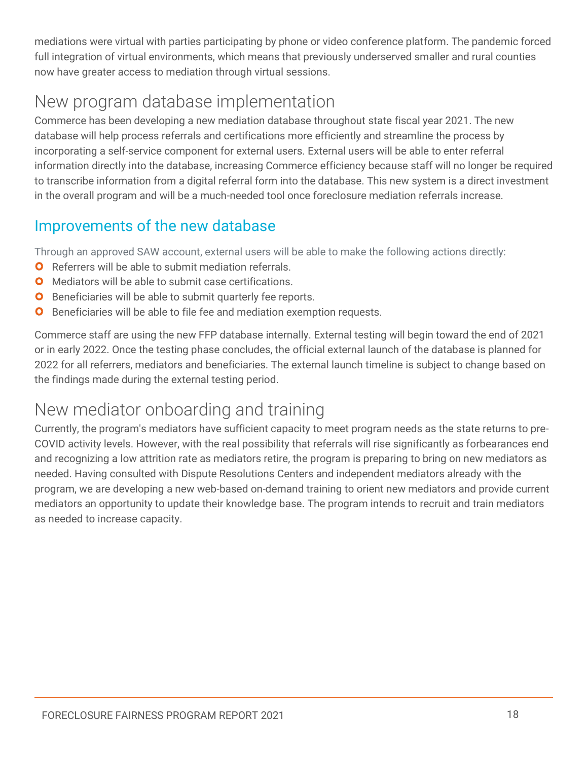mediations were virtual with parties participating by phone or video conference platform. The pandemic forced full integration of virtual environments, which means that previously underserved smaller and rural counties now have greater access to mediation through virtual sessions.

# New program database implementation

Commerce has been developing a new mediation database throughout state fiscal year 2021. The new database will help process referrals and certifications more efficiently and streamline the process by incorporating a self-service component for external users. External users will be able to enter referral information directly into the database, increasing Commerce efficiency because staff will no longer be required to transcribe information from a digital referral form into the database. This new system is a direct investment in the overall program and will be a much-needed tool once foreclosure mediation referrals increase.

#### Improvements of the new database

Through an approved SAW account, external users will be able to make the following actions directly:

- **O** Referrers will be able to submit mediation referrals.
- **O** Mediators will be able to submit case certifications.
- **O** Beneficiaries will be able to submit quarterly fee reports.
- **O** Beneficiaries will be able to file fee and mediation exemption requests.

Commerce staff are using the new FFP database internally. External testing will begin toward the end of 2021 or in early 2022. Once the testing phase concludes, the official external launch of the database is planned for 2022 for all referrers, mediators and beneficiaries. The external launch timeline is subject to change based on the findings made during the external testing period.

### New mediator onboarding and training

Currently, the program's mediators have sufficient capacity to meet program needs as the state returns to pre-COVID activity levels. However, with the real possibility that referrals will rise significantly as forbearances end and recognizing a low attrition rate as mediators retire, the program is preparing to bring on new mediators as needed. Having consulted with Dispute Resolutions Centers and independent mediators already with the program, we are developing a new web-based on-demand training to orient new mediators and provide current mediators an opportunity to update their knowledge base. The program intends to recruit and train mediators as needed to increase capacity.